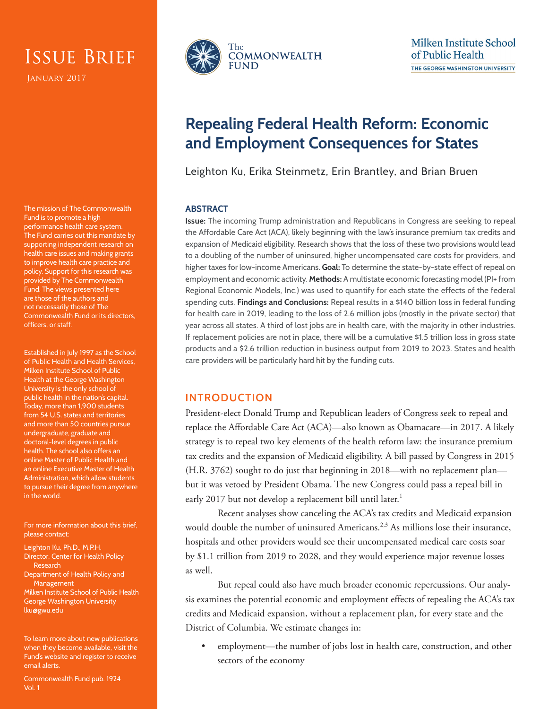# Issue Brief

JANUARY 2017

The mission of The Commonwealth Fund is to promote a high performance health care system. The Fund carries out this mandate by supporting independent research on health care issues and making grants to improve health care practice and policy. Support for this research was provided by The Commonwealth Fund. The views presented here are those of the authors and not necessarily those of The Commonwealth Fund or its directors, officers, or staff.

Established in July 1997 as the School of Public Health and Health Services, Milken Institute School of Public Health at the George Washington University is the only school of public health in the nation's capital. Today, more than 1,900 students from 54 U.S. states and territories and more than 50 countries pursue undergraduate, graduate and doctoral-level degrees in public health. The school also offers an online Master of Public Health and an online Executive Master of Health Administration, which allow students to pursue their degree from anywhere in the world.

For more information about this brief, please contact:

Leighton Ku, Ph.D., M.P.H. Director, Center for Health Policy Research Department of Health Policy and **Management** 

Milken Institute School of Public Health George Washington University lku@gwu.edu

To learn more about new publications when they become available, visit the Fund's website and [register to receive](http://www.commonwealthfund.org/myprofile/myprofile_edit.htm)  [email alerts.](http://www.commonwealthfund.org/myprofile/myprofile_edit.htm)

Commonwealth Fund pub. 1924 Vol. 1



# **Repealing Federal Health Reform: Economic and Employment Consequences for States**

Leighton Ku, Erika Steinmetz, Erin Brantley, and Brian Bruen

#### **ABSTRACT**

**Issue:** The incoming Trump administration and Republicans in Congress are seeking to repeal the Affordable Care Act (ACA), likely beginning with the law's insurance premium tax credits and expansion of Medicaid eligibility. Research shows that the loss of these two provisions would lead to a doubling of the number of uninsured, higher uncompensated care costs for providers, and higher taxes for low-income Americans. **Goal:** To determine the state-by-state effect of repeal on employment and economic activity. **Methods:** A multistate economic forecasting model (PI+ from Regional Economic Models, Inc.) was used to quantify for each state the effects of the federal spending cuts. **Findings and Conclusions:** Repeal results in a \$140 billion loss in federal funding for health care in 2019, leading to the loss of 2.6 million jobs (mostly in the private sector) that year across all states. A third of lost jobs are in health care, with the majority in other industries. If replacement policies are not in place, there will be a cumulative \$1.5 trillion loss in gross state products and a \$2.6 trillion reduction in business output from 2019 to 2023. States and health care providers will be particularly hard hit by the funding cuts.

### **INTRODUCTION**

President-elect Donald Trump and Republican leaders of Congress seek to repeal and replace the Affordable Care Act (ACA)—also known as Obamacare—in 2017. A likely strategy is to repeal two key elements of the health reform law: the insurance premium tax credits and the expansion of Medicaid eligibility. A bill passed by Congress in 2015 (H.R. 3762) sought to do just that beginning in 2018—with no replacement plan but it was vetoed by President Obama. The new Congress could pass a repeal bill in early 2017 but not develop a replacement bill until later.<sup>1</sup>

Recent analyses show canceling the ACA's tax credits and Medicaid expansion would double the number of uninsured Americans.<sup> $2,3$ </sup> As millions lose their insurance, hospitals and other providers would see their uncompensated medical care costs soar by \$1.1 trillion from 2019 to 2028, and they would experience major revenue losses as well.

But repeal could also have much broader economic repercussions. Our analysis examines the potential economic and employment effects of repealing the ACA's tax credits and Medicaid expansion, without a replacement plan, for every state and the District of Columbia. We estimate changes in:

• employment—the number of jobs lost in health care, construction, and other sectors of the economy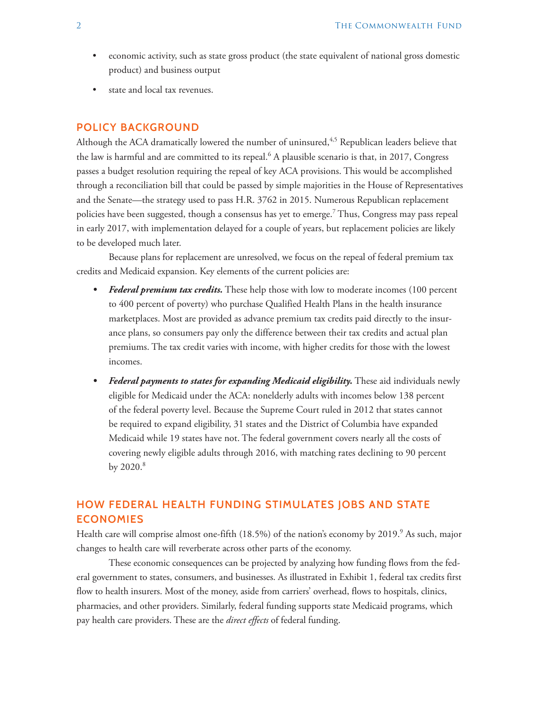- economic activity, such as state gross product (the state equivalent of national gross domestic product) and business output
- state and local tax revenues.

#### **POLICY BACKGROUND**

Although the ACA dramatically lowered the number of uninsured,<sup>4,5</sup> Republican leaders believe that the law is harmful and are committed to its repeal.<sup>6</sup> A plausible scenario is that, in 2017, Congress passes a budget resolution requiring the repeal of key ACA provisions. This would be accomplished through a reconciliation bill that could be passed by simple majorities in the House of Representatives and the Senate—the strategy used to pass H.R. 3762 in 2015. Numerous Republican replacement policies have been suggested, though a consensus has yet to emerge.<sup>7</sup> Thus, Congress may pass repeal in early 2017, with implementation delayed for a couple of years, but replacement policies are likely to be developed much later.

Because plans for replacement are unresolved, we focus on the repeal of federal premium tax credits and Medicaid expansion. Key elements of the current policies are:

- *• Federal premium tax credits.* These help those with low to moderate incomes (100 percent to 400 percent of poverty) who purchase Qualified Health Plans in the health insurance marketplaces. Most are provided as advance premium tax credits paid directly to the insurance plans, so consumers pay only the difference between their tax credits and actual plan premiums. The tax credit varies with income, with higher credits for those with the lowest incomes.
- *• Federal payments to states for expanding Medicaid eligibility.* These aid individuals newly eligible for Medicaid under the ACA: nonelderly adults with incomes below 138 percent of the federal poverty level. Because the Supreme Court ruled in 2012 that states cannot be required to expand eligibility, 31 states and the District of Columbia have expanded Medicaid while 19 states have not. The federal government covers nearly all the costs of covering newly eligible adults through 2016, with matching rates declining to 90 percent by  $2020.<sup>8</sup>$

### **HOW FEDERAL HEALTH FUNDING STIMULATES JOBS AND STATE ECONOMIES**

Health care will comprise almost one-fifth (18.5%) of the nation's economy by 2019.<sup>9</sup> As such, major changes to health care will reverberate across other parts of the economy.

These economic consequences can be projected by analyzing how funding flows from the federal government to states, consumers, and businesses. As illustrated in Exhibit 1, federal tax credits first flow to health insurers. Most of the money, aside from carriers' overhead, flows to hospitals, clinics, pharmacies, and other providers. Similarly, federal funding supports state Medicaid programs, which pay health care providers. These are the *direct effects* of federal funding.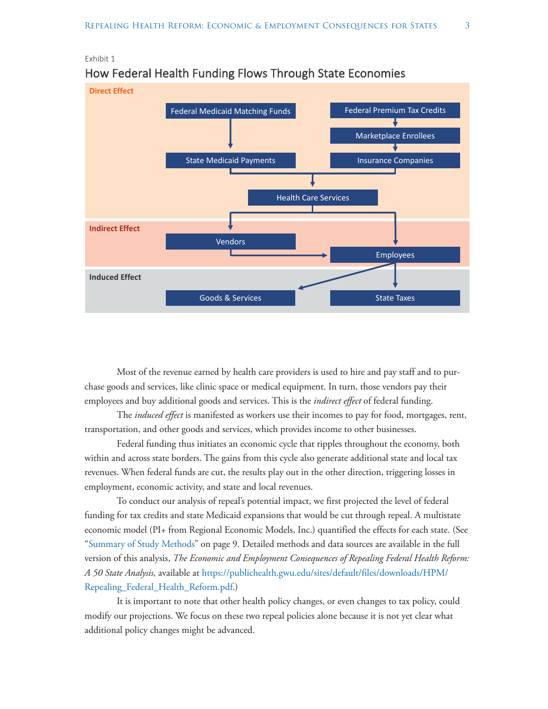

### How Federal Health Funding Flows Through State Economies

Exhibit 1

Most of the revenue earned by health care providers is used to hire and pay staff and to purchase goods and services, like clinic space or medical equipment. In turn, those vendors pay their employees and buy additional goods and services. This is the *indirect effect* of federal funding.

The *induced effect* is manifested as workers use their incomes to pay for food, mortgages, rent, transportation, and other goods and services, which provides income to other businesses.

Federal funding thus initiates an economic cycle that ripples throughout the economy, both within and across state borders. The gains from this cycle also generate additional state and local tax revenues. When federal funds are cut, the results play out in the other direction, triggering losses in employment, economic activity, and state and local revenues.

To conduct our analysis of repeal's potential impact, we first projected the level of federal funding for tax credits and state Medicaid expansions that would be cut through repeal. A multistate economic model (PI+ from Regional Economic Models, Inc.) quantified the effects for each state. (See "[Summary of Study Methods](#page-8-0)" on page 9. Detailed methods and data sources are available in the full version of this analysis, *The Economic and Employment Consequences of Repealing Federal Health Reform: A 50 State Analysis,* available at [https://publichealth.gwu.edu/sites/default/files/downloads/HPM/](https://publichealth.gwu.edu/sites/default/files/downloads/HPM/Repealing_Federal_Health_Reform.pdf) [Repealing\\_Federal\\_Health\\_Reform.pdf.](https://publichealth.gwu.edu/sites/default/files/downloads/HPM/Repealing_Federal_Health_Reform.pdf))

It is important to note that other health policy changes, or even changes to tax policy, could modify our projections. We focus on these two repeal policies alone because it is not yet clear what additional policy changes might be advanced.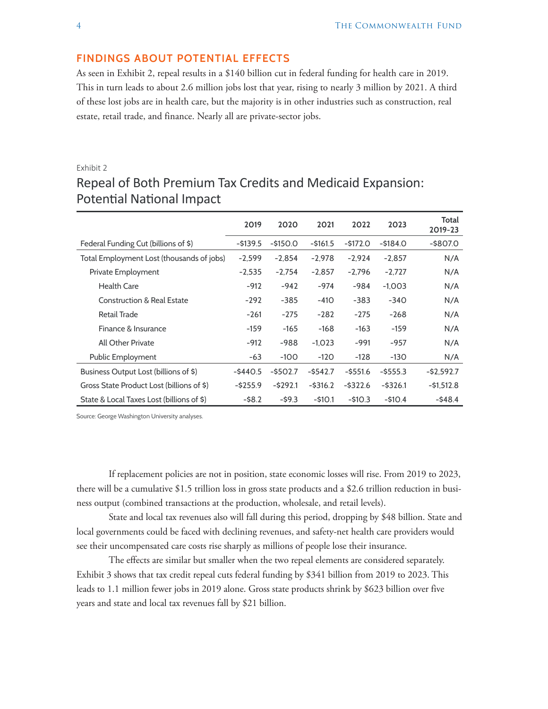#### **FINDINGS ABOUT POTENTIAL EFFECTS**

As seen in Exhibit 2, repeal results in a \$140 billion cut in federal funding for health care in 2019. This in turn leads to about 2.6 million jobs lost that year, rising to nearly 3 million by 2021. A third of these lost jobs are in health care, but the majority is in other industries such as construction, real estate, retail trade, and finance. Nearly all are private-sector jobs.

#### Exhibit 2

|                                           | 2019        | 2020        | 2021        | 2022        | 2023        | Total<br>2019-23 |
|-------------------------------------------|-------------|-------------|-------------|-------------|-------------|------------------|
| Federal Funding Cut (billions of \$)      | $-$ \$139.5 | $-$ \$150.0 | $-$ \$161.5 | $-5172.0$   | $-$ \$184.0 | $-$ \$807.0      |
| Total Employment Lost (thousands of jobs) | $-2,599$    | $-2,854$    | $-2.978$    | $-2,924$    | $-2,857$    | N/A              |
| Private Employment                        | $-2,535$    | $-2,754$    | $-2,857$    | $-2,796$    | $-2,727$    | N/A              |
| <b>Health Care</b>                        | $-912$      | $-942$      | $-974$      | $-984$      | $-1,003$    | N/A              |
| <b>Construction &amp; Real Estate</b>     | $-292$      | $-385$      | $-410$      | $-383$      | $-340$      | N/A              |
| Retail Trade                              | $-261$      | $-275$      | $-282$      | $-275$      | $-268$      | N/A              |
| Finance & Insurance                       | $-159$      | $-165$      | $-168$      | $-163$      | $-159$      | N/A              |
| All Other Private                         | $-912$      | -988        | $-1,023$    | $-991$      | -957        | N/A              |
| Public Employment                         | -63         | $-100$      | $-120$      | $-128$      | $-130$      | N/A              |
| Business Output Lost (billions of \$)     | $-$ \$440.5 | $-$ \$502.7 | $-$ \$542.7 | $-$ \$551.6 | $-$ \$555.3 | $-$ \$2,592.7    |
| Gross State Product Lost (billions of \$) | $-$ \$255.9 | $-5292.1$   | $-$ \$316.2 | $-5322.6$   | $-$ \$326.1 | $-51,512.8$      |
| State & Local Taxes Lost (billions of \$) | $-58.2$     | $-59.3$     | $-510.1$    | $-$10.3$    | $-510.4$    | $-548.4$         |

# Repeal of Both Premium Tax Credits and Medicaid Expansion: Potential National Impact

Source: George Washington University analyses.

If replacement policies are not in position, state economic losses will rise. From 2019 to 2023, there will be a cumulative \$1.5 trillion loss in gross state products and a \$2.6 trillion reduction in business output (combined transactions at the production, wholesale, and retail levels).

State and local tax revenues also will fall during this period, dropping by \$48 billion. State and local governments could be faced with declining revenues, and safety-net health care providers would see their uncompensated care costs rise sharply as millions of people lose their insurance.

The effects are similar but smaller when the two repeal elements are considered separately. Exhibit 3 shows that tax credit repeal cuts federal funding by \$341 billion from 2019 to 2023. This leads to 1.1 million fewer jobs in 2019 alone. Gross state products shrink by \$623 billion over five years and state and local tax revenues fall by \$21 billion.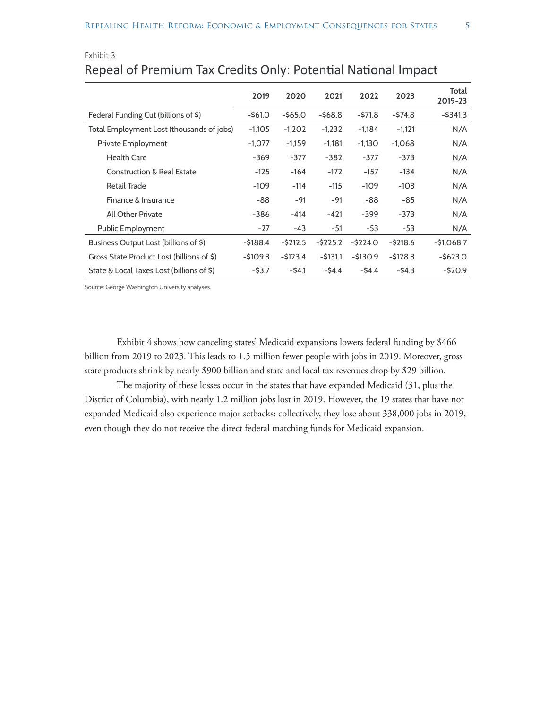|                                           | 2019       | 2020        | 2021        | 2022        | 2023      | Total<br>2019-23 |
|-------------------------------------------|------------|-------------|-------------|-------------|-----------|------------------|
| Federal Funding Cut (billions of \$)      | $-$ \$61.0 | $-$ \$65.0  | $-568.8$    | $-571.8$    | -\$74.8   | $-$ \$341.3      |
| Total Employment Lost (thousands of jobs) | $-1,105$   | $-1,202$    | $-1,232$    | $-1,184$    | $-1,121$  | N/A              |
| Private Employment                        | $-1,077$   | $-1,159$    | $-1,181$    | $-1,130$    | $-1,068$  | N/A              |
| <b>Health Care</b>                        | $-369$     | $-377$      | $-382$      | $-377$      | $-373$    | N/A              |
| <b>Construction &amp; Real Estate</b>     | $-125$     | $-164$      | $-172$      | $-157$      | $-134$    | N/A              |
| <b>Retail Trade</b>                       | $-109$     | $-114$      | $-115$      | $-109$      | $-103$    | N/A              |
| Finance & Insurance                       | -88        | $-91$       | $-91$       | -88         | -85       | N/A              |
| All Other Private                         | $-386$     | $-414$      | $-421$      | $-399$      | $-373$    | N/A              |
| Public Employment                         | $-27$      | $-43$       | -51         | $-53$       | -53       | N/A              |
| Business Output Lost (billions of \$)     | -\$188.4   | $-$ \$212.5 | $-5225.2$   | $-5224.0$   | $-5218.6$ | $-$1,068.7$      |
| Gross State Product Lost (billions of \$) | $-5109.3$  | $-5123.4$   | $-$ \$131.1 | $-$ \$130.9 | $-5128.3$ | $-$ \$623.0      |
| State & Local Taxes Lost (billions of \$) | $-$ \$3.7  | $-54.1$     | $-54.4$     | $-54.4$     | $-54.3$   | $-520.9$         |

## Exhibit 3 Repeal of Premium Tax Credits Only: Potential National Impact

Source: George Washington University analyses.

Exhibit 4 shows how canceling states' Medicaid expansions lowers federal funding by \$466 billion from 2019 to 2023. This leads to 1.5 million fewer people with jobs in 2019. Moreover, gross state products shrink by nearly \$900 billion and state and local tax revenues drop by \$29 billion.

The majority of these losses occur in the states that have expanded Medicaid (31, plus the District of Columbia), with nearly 1.2 million jobs lost in 2019. However, the 19 states that have not expanded Medicaid also experience major setbacks: collectively, they lose about 338,000 jobs in 2019, even though they do not receive the direct federal matching funds for Medicaid expansion.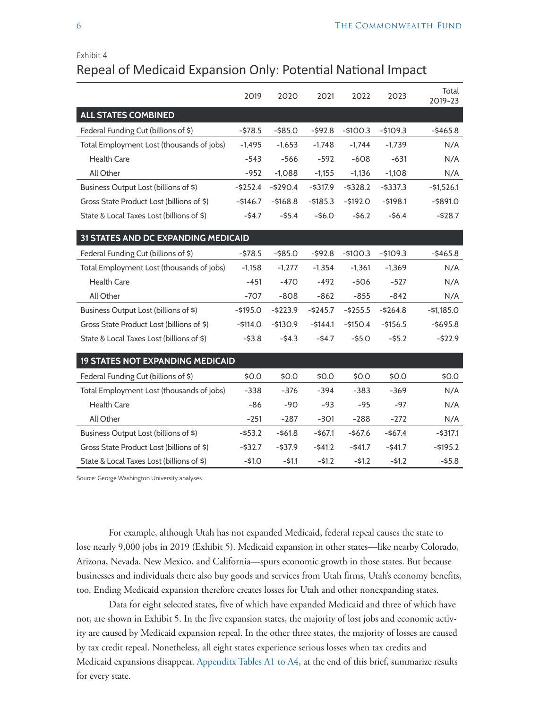#### Exhibit 4

### Repeal of Medicaid Expansion Only: Potential National Impact

|                                           | 2019        | 2020       | 2021        | 2022        | 2023        | Total<br>2019-23 |
|-------------------------------------------|-------------|------------|-------------|-------------|-------------|------------------|
| <b>ALL STATES COMBINED</b>                |             |            |             |             |             |                  |
| Federal Funding Cut (billions of \$)      | $-578.5$    | $-$ \$85.0 | $-592.8$    | $-$100.3$   | $-$109.3$   | $-5465.8$        |
| Total Employment Lost (thousands of jobs) | $-1,495$    | $-1,653$   | $-1,748$    | $-1,744$    | $-1,739$    | N/A              |
| <b>Health Care</b>                        | $-543$      | $-566$     | $-592$      | $-608$      | $-631$      | N/A              |
| All Other                                 | $-952$      | $-1,088$   | $-1,155$    | $-1,136$    | $-1,108$    | N/A              |
| Business Output Lost (billions of \$)     | $-$ \$252.4 | $-5290.4$  | $-$ \$317.9 | $-5328.2$   | $-$ \$337.3 | $-51,526.1$      |
| Gross State Product Lost (billions of \$) | $-$ \$146.7 | $-5168.8$  | $- $185.3$  | $-5192.0$   | $-5198.1$   | $-$ \$891.0      |
| State & Local Taxes Lost (billions of \$) | $-54.7$     | $-$ \$5.4  | $-56.0$     | $-56.2$     | $-56.4$     | $-528.7$         |
| 31 STATES AND DC EXPANDING MEDICAID       |             |            |             |             |             |                  |
| Federal Funding Cut (billions of \$)      | $-578.5$    | $-$ \$85.0 | $-592.8$    | $-$100.3$   | $-$109.3$   | $-$ \$465.8      |
| Total Employment Lost (thousands of jobs) | $-1,158$    | $-1,277$   | $-1,354$    | $-1,361$    | $-1,369$    | N/A              |
| <b>Health Care</b>                        | $-451$      | $-470$     | $-492$      | $-506$      | $-527$      | N/A              |
| All Other                                 | $-707$      | $-808$     | $-862$      | $-855$      | $-842$      | N/A              |
| Business Output Lost (billions of \$)     | $-$ \$195.0 | $-5223.9$  | $-5245.7$   | $-$ \$255.5 | $-5264.8$   | $-$1,185.0$      |
| Gross State Product Lost (billions of \$) | $-$114.0$   | $-$130.9$  | $-$144.1$   | $-$150.4$   | $-$156.5$   | $-5695.8$        |
| State & Local Taxes Lost (billions of \$) | $-$ \$3.8   | $-54.3$    | $-54.7$     | $-$ \$5.0   | $-55.2$     | $-522.9$         |
| <b>19 STATES NOT EXPANDING MEDICAID</b>   |             |            |             |             |             |                  |
| Federal Funding Cut (billions of \$)      | \$0.0       | \$0.0      | \$0.0       | \$0.0       | \$0.0       | \$0.0            |
| Total Employment Lost (thousands of jobs) | $-338$      | $-376$     | $-394$      | $-383$      | $-369$      | N/A              |
| <b>Health Care</b>                        | $-86$       | $-90$      | $-93$       | $-95$       | $-97$       | N/A              |
| All Other                                 | $-251$      | $-287$     | $-301$      | $-288$      | $-272$      | N/A              |
| Business Output Lost (billions of \$)     | $-$ \$53.2  | $-561.8$   | $-567.1$    | $-$67.6$    | $-567.4$    | $-$ \$317.1      |
| Gross State Product Lost (billions of \$) | $-$ \$32.7  | $-$ \$37.9 | $-541.2$    | $-541.7$    | $-541.7$    | $-$ \$195.2      |
| State & Local Taxes Lost (billions of \$) | $-$1.0$     | $-$ \$1.1  | $-51.2$     | $-51.2$     | $-51.2$     | $-55.8$          |

Source: George Washington University analyses.

For example, although Utah has not expanded Medicaid, federal repeal causes the state to lose nearly 9,000 jobs in 2019 (Exhibit 5). Medicaid expansion in other states—like nearby Colorado, Arizona, Nevada, New Mexico, and California—spurs economic growth in those states. But because businesses and individuals there also buy goods and services from Utah firms, Utah's economy benefits, too. Ending Medicaid expansion therefore creates losses for Utah and other nonexpanding states.

Data for eight selected states, five of which have expanded Medicaid and three of which have not, are shown in Exhibit 5. In the five expansion states, the majority of lost jobs and economic activity are caused by Medicaid expansion repeal. In the other three states, the majority of losses are caused by tax credit repeal. Nonetheless, all eight states experience serious losses when tax credits and Medicaid expansions disappear. [Appenditx Tables A1 to A4,](#page-11-0) at the end of this brief, summarize results for every state.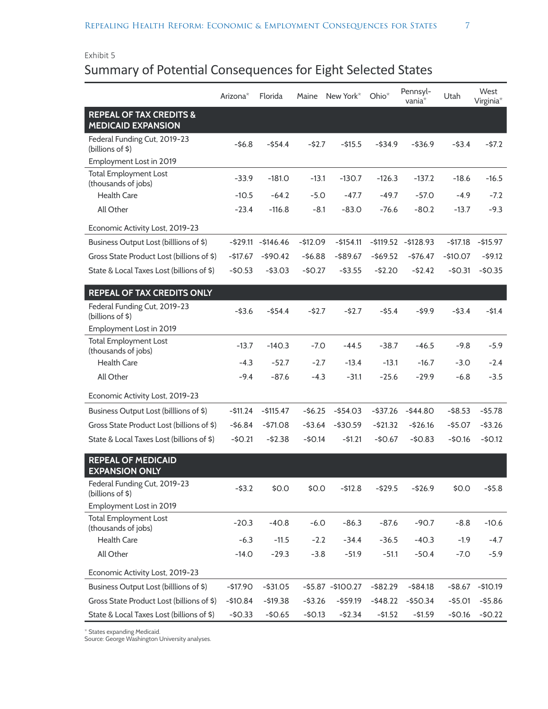### Exhibit 5 Summary of Potential Consequences for Eight Selected States

|                                                                 | Arizona <sup>*</sup> | Florida             | Maine     | New York*          | $Ohio^*$    | Pennsyl-<br>vania <sup>*</sup> | Utah       | West<br>Virginia*      |
|-----------------------------------------------------------------|----------------------|---------------------|-----------|--------------------|-------------|--------------------------------|------------|------------------------|
| <b>REPEAL OF TAX CREDITS &amp;</b><br><b>MEDICAID EXPANSION</b> |                      |                     |           |                    |             |                                |            |                        |
| Federal Funding Cut, 2019-23<br>(billions of \$)                | $-56.8$              | $-554.4$            | $-52.7$   | $-515.5$           | $-534.9$    | $-536.9$                       | $-53.4$    | $-57.2$                |
| Employment Lost in 2019                                         |                      |                     |           |                    |             |                                |            |                        |
| <b>Total Employment Lost</b><br>(thousands of jobs)             | $-33.9$              | $-181.0$            | $-13.1$   | $-130.7$           | $-126.3$    | $-137.2$                       | $-18.6$    | $-16.5$                |
| <b>Health Care</b>                                              | $-10.5$              | $-64.2$             | $-5.0$    | $-47.7$            | $-49.7$     | $-57.0$                        | $-4.9$     | $-7.2$                 |
| All Other                                                       | $-23.4$              | $-116.8$            | $-8.1$    | $-83.0$            | $-76.6$     | $-80.2$                        | $-13.7$    | $-9.3$                 |
| Economic Activity Lost, 2019-23                                 |                      |                     |           |                    |             |                                |            |                        |
| Business Output Lost (billlions of \$)                          |                      | $-529.11 - 5146.46$ | $-512.09$ | $-5154.11$         |             | $-5119.52 - 5128.93$           | -\$17.18   | $-$ \$15.97            |
| Gross State Product Lost (billions of \$)                       | $-$17.67$            | $-$ \$90.42         | $-56.88$  | $-589.67$          | $-569.52$   | $-576.47$                      | $-$10.07$  | $-59.12$               |
| State & Local Taxes Lost (billions of \$)                       | $-50.53$             | $-53.03$            | $-50.27$  | $-$ \$3.55         | $-52.20$    | $-52.42$                       | $-50.31$   | $-50.35$               |
| <b>REPEAL OF TAX CREDITS ONLY</b>                               |                      |                     |           |                    |             |                                |            |                        |
| Federal Funding Cut, 2019-23<br>(billions of \$)                | $-53.6$              | $-554.4$            | $-52.7$   | $-52.7$            | $-$ \$5.4   | $-59.9$                        | $-53.4$    | $-51.4$                |
| Employment Lost in 2019                                         |                      |                     |           |                    |             |                                |            |                        |
| <b>Total Employment Lost</b><br>(thousands of jobs)             | $-13.7$              | $-140.3$            | -7.0      | $-44.5$            | $-38.7$     | $-46.5$                        | $-9.8$     | $-5.9$                 |
| <b>Health Care</b>                                              | $-4.3$               | $-52.7$             | $-2.7$    | $-13.4$            | $-13.1$     | $-16.7$                        | $-3.0$     | $-2.4$                 |
| All Other                                                       | $-9.4$               | $-87.6$             | $-4.3$    | $-31.1$            | $-25.6$     | $-29.9$                        | $-6.8$     | $-3.5$                 |
| Economic Activity Lost, 2019-23                                 |                      |                     |           |                    |             |                                |            |                        |
| Business Output Lost (billlions of \$)                          | $-511.24$            | $-$ \$115.47        | $-56.25$  | $-554.03$          | $-537.26$   | $-$ \$44.80                    | $-$ \$8.53 | $-55.78$               |
| Gross State Product Lost (billions of \$)                       | $-56.84$             | $-571.08$           | $-53.64$  | $-$ \$30.59        | $-521.32$   | $-526.16$                      | $-$5.07$   | $-53.26$               |
| State & Local Taxes Lost (billions of \$)                       | $-50.21$             | $-52.38$            | $-50.14$  | $-51.21$           | $-$0.67$    | $-50.83$                       | $-50.16$   | $-50.12$               |
| <b>REPEAL OF MEDICAID</b><br><b>EXPANSION ONLY</b>              |                      |                     |           |                    |             |                                |            |                        |
| Federal Funding Cut, 2019-23<br>(billions of \$)                | $-$ \$3.2            | \$0.0               | \$0.0     | $-512.8$           | $-529.5$    | $-526.9$                       | \$0.0      | $-55.8$                |
| Employment Lost in 2019                                         |                      |                     |           |                    |             |                                |            |                        |
| <b>Total Employment Lost</b><br>(thousands of jobs)             | $-20.3$              | $-40.8$             | $-6.0$    | $-86.3$            | $-87.6$     | $-90.7$                        | $-8.8$     | $-10.6$                |
| Health Care                                                     | $-6.3$               | $-11.5$             | $-2.2$    | $-34.4$            | $-36.5$     | $-40.3$                        | $-1.9$     | $-4.7$                 |
| All Other                                                       | $-14.0$              | $-29.3$             | $-3.8$    | $-51.9$            | $-51.1$     | $-50.4$                        | $-7.0$     | $-5.9$                 |
| Economic Activity Lost, 2019-23                                 |                      |                     |           |                    |             |                                |            |                        |
| Business Output Lost (billlions of \$)                          | $-$17.90$            | $-$ \$31.05         |           | $-55.87 - 5100.27$ | $-$ \$82.29 | $-$ \$84.18                    |            | $-$ \$8.67 $-$ \$10.19 |
| Gross State Product Lost (billions of \$)                       | $-$10.84$            | $-$ \$19.38         | $-53.26$  | $-559.19$          | $-$ \$48.22 | $-$ \$50.34                    | $-55.01$   | $-55.86$               |
| State & Local Taxes Lost (billions of \$)                       | $-50.33$             | $-50.65$            | $-50.13$  | $-52.34$           | $-51.52$    | $-51.59$                       | $-50.16$   | $-50.22$               |

\* States expanding Medicaid.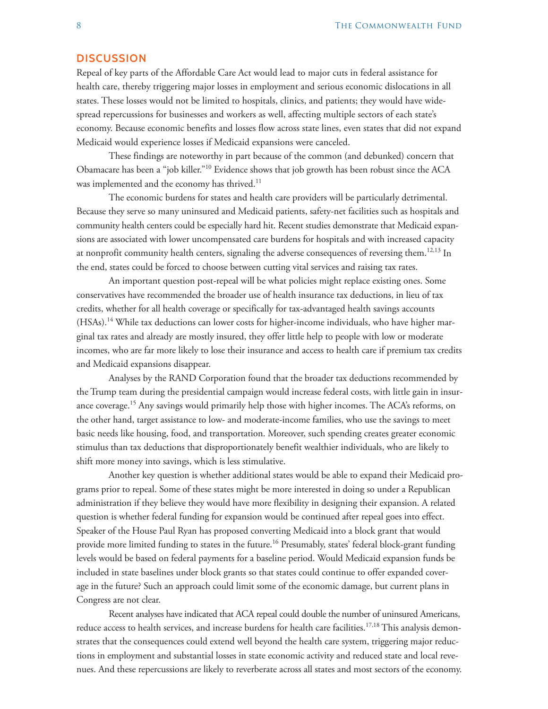#### **DISCUSSION**

Repeal of key parts of the Affordable Care Act would lead to major cuts in federal assistance for health care, thereby triggering major losses in employment and serious economic dislocations in all states. These losses would not be limited to hospitals, clinics, and patients; they would have widespread repercussions for businesses and workers as well, affecting multiple sectors of each state's economy. Because economic benefits and losses flow across state lines, even states that did not expand Medicaid would experience losses if Medicaid expansions were canceled.

These findings are noteworthy in part because of the common (and debunked) concern that Obamacare has been a "job killer."10 Evidence shows that job growth has been robust since the ACA was implemented and the economy has thrived. $^{11}$ 

The economic burdens for states and health care providers will be particularly detrimental. Because they serve so many uninsured and Medicaid patients, safety-net facilities such as hospitals and community health centers could be especially hard hit. Recent studies demonstrate that Medicaid expansions are associated with lower uncompensated care burdens for hospitals and with increased capacity at nonprofit community health centers, signaling the adverse consequences of reversing them.<sup>12,13</sup> In the end, states could be forced to choose between cutting vital services and raising tax rates.

An important question post-repeal will be what policies might replace existing ones. Some conservatives have recommended the broader use of health insurance tax deductions, in lieu of tax credits, whether for all health coverage or specifically for tax-advantaged health savings accounts (HSAs).14 While tax deductions can lower costs for higher-income individuals, who have higher marginal tax rates and already are mostly insured, they offer little help to people with low or moderate incomes, who are far more likely to lose their insurance and access to health care if premium tax credits and Medicaid expansions disappear.

Analyses by the RAND Corporation found that the broader tax deductions recommended by the Trump team during the presidential campaign would increase federal costs, with little gain in insurance coverage.<sup>15</sup> Any savings would primarily help those with higher incomes. The ACA's reforms, on the other hand, target assistance to low- and moderate-income families, who use the savings to meet basic needs like housing, food, and transportation. Moreover, such spending creates greater economic stimulus than tax deductions that disproportionately benefit wealthier individuals, who are likely to shift more money into savings, which is less stimulative.

Another key question is whether additional states would be able to expand their Medicaid programs prior to repeal. Some of these states might be more interested in doing so under a Republican administration if they believe they would have more flexibility in designing their expansion. A related question is whether federal funding for expansion would be continued after repeal goes into effect. Speaker of the House Paul Ryan has proposed converting Medicaid into a block grant that would provide more limited funding to states in the future.<sup>16</sup> Presumably, states' federal block-grant funding levels would be based on federal payments for a baseline period. Would Medicaid expansion funds be included in state baselines under block grants so that states could continue to offer expanded coverage in the future? Such an approach could limit some of the economic damage, but current plans in Congress are not clear.

Recent analyses have indicated that ACA repeal could double the number of uninsured Americans, reduce access to health services, and increase burdens for health care facilities.17,18 This analysis demonstrates that the consequences could extend well beyond the health care system, triggering major reductions in employment and substantial losses in state economic activity and reduced state and local revenues. And these repercussions are likely to reverberate across all states and most sectors of the economy.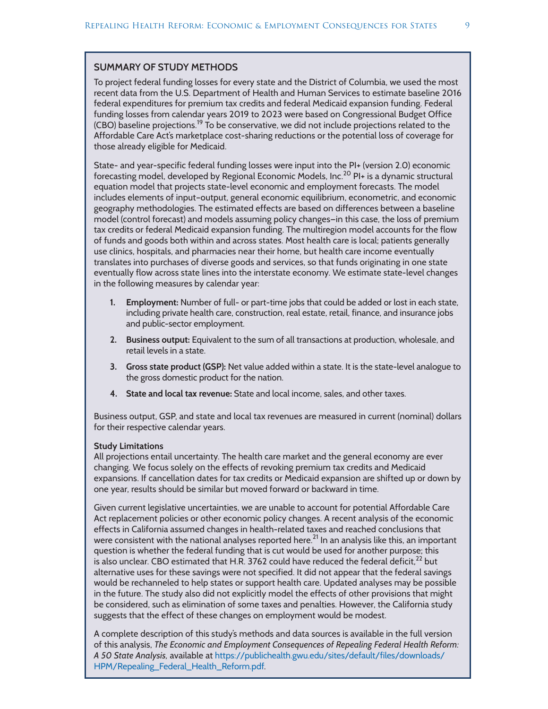#### <span id="page-8-0"></span>**SUMMARY OF STUDY METHODS**

To project federal funding losses for every state and the District of Columbia, we used the most recent data from the U.S. Department of Health and Human Services to estimate baseline 2016 federal expenditures for premium tax credits and federal Medicaid expansion funding. Federal funding losses from calendar years 2019 to 2023 were based on Congressional Budget Office (CBO) baseline projections.19 To be conservative, we did not include projections related to the Affordable Care Act's marketplace cost-sharing reductions or the potential loss of coverage for those already eligible for Medicaid.

State- and year-specific federal funding losses were input into the PI+ (version 2.0) economic forecasting model, developed by Regional Economic Models, Inc.<sup>20</sup> PI+ is a dynamic structural equation model that projects state-level economic and employment forecasts. The model includes elements of input–output, general economic equilibrium, econometric, and economic geography methodologies. The estimated effects are based on differences between a baseline model (control forecast) and models assuming policy changes—in this case, the loss of premium tax credits or federal Medicaid expansion funding. The multiregion model accounts for the flow of funds and goods both within and across states. Most health care is local; patients generally use clinics, hospitals, and pharmacies near their home, but health care income eventually translates into purchases of diverse goods and services, so that funds originating in one state eventually flow across state lines into the interstate economy. We estimate state-level changes in the following measures by calendar year:

- **1. Employment:** Number of full- or part-time jobs that could be added or lost in each state, including private health care, construction, real estate, retail, finance, and insurance jobs and public-sector employment.
- **2. Business output:** Equivalent to the sum of all transactions at production, wholesale, and retail levels in a state.
- **3. Gross state product (GSP):** Net value added within a state. It is the state-level analogue to the gross domestic product for the nation.
- **4. State and local tax revenue:** State and local income, sales, and other taxes.

Business output, GSP, and state and local tax revenues are measured in current (nominal) dollars for their respective calendar years.

#### **Study Limitations**

All projections entail uncertainty. The health care market and the general economy are ever changing. We focus solely on the effects of revoking premium tax credits and Medicaid expansions. If cancellation dates for tax credits or Medicaid expansion are shifted up or down by one year, results should be similar but moved forward or backward in time.

Given current legislative uncertainties, we are unable to account for potential Affordable Care Act replacement policies or other economic policy changes. A recent analysis of the economic effects in California assumed changes in health-related taxes and reached conclusions that were consistent with the national analyses reported here.<sup>21</sup> In an analysis like this, an important question is whether the federal funding that is cut would be used for another purpose; this is also unclear. CBO estimated that H.R. 3762 could have reduced the federal deficit,<sup>22</sup> but alternative uses for these savings were not specified. It did not appear that the federal savings would be rechanneled to help states or support health care. Updated analyses may be possible in the future. The study also did not explicitly model the effects of other provisions that might be considered, such as elimination of some taxes and penalties. However, the California study suggests that the effect of these changes on employment would be modest.

A complete description of this study's methods and data sources is available in the full version of this analysis, *The Economic and Employment Consequences of Repealing Federal Health Reform: A 50 State Analysis,* available at [https://publichealth.gwu.edu/sites/default/files/downloads/](https://publichealth.gwu.edu/sites/default/files/downloads/HPM/Repealing_Federal_Health_Reform.pdf) [HPM/Repealing\\_Federal\\_Health\\_Reform.pdf](https://publichealth.gwu.edu/sites/default/files/downloads/HPM/Repealing_Federal_Health_Reform.pdf).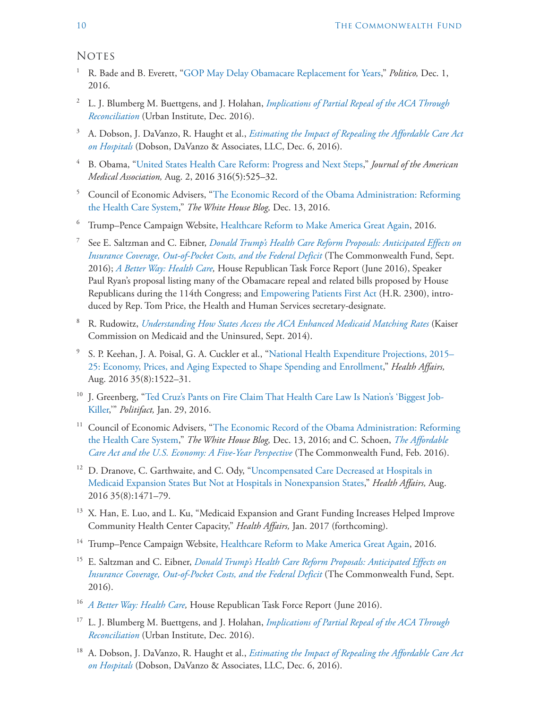**NOTES** 

- <sup>1</sup> R. Bade and B. Everett, ["GOP May Delay Obamacare Replacement for Years,](http://www.politico.com/story/2016/12/obamacare-republicans-repeal-replace-232025)" *Politico*, Dec. 1, 2016.
- <sup>2</sup> L. J. Blumberg M. Buettgens, and J. Holahan, *[Implications of Partial Repeal of the ACA Through](http://www.urban.org/sites/default/files/publication/86236/2001013-the-implications-of-partial-repeal-of-the-aca-through-reconciliation_0.pdf)  [Reconciliation](http://www.urban.org/sites/default/files/publication/86236/2001013-the-implications-of-partial-repeal-of-the-aca-through-reconciliation_0.pdf)* (Urban Institute, Dec. 2016).
- <sup>3</sup> A. Dobson, J. DaVanzo, R. Haught et al., *[Estimating the Impact of Repealing the Affordable Care Act](http://www.aha.org/content/16/impact-repeal-aca-report.pdf)  [on Hospitals](http://www.aha.org/content/16/impact-repeal-aca-report.pdf)* (Dobson, DaVanzo & Associates, LLC, Dec. 6, 2016).
- <sup>4</sup> B. Obama, ["United States Health Care Reform: Progress and Next Steps,](http://jamanetwork.com/journals/jama/fullarticle/2533698)" *Journal of the American Medical Association,* Aug. 2, 2016 316(5):525–32.
- <sup>5</sup> Council of Economic Advisers, "[The Economic Record of the Obama Administration: Reforming](https://www.whitehouse.gov/blog/2016/12/13/economic-record-obama-administration-reforming-health-care-system)  [the Health Care System](https://www.whitehouse.gov/blog/2016/12/13/economic-record-obama-administration-reforming-health-care-system)," *The White House Blog,* Dec. 13, 2016.
- <sup>6</sup> Trump–Pence Campaign Website, [Healthcare Reform to Make America Great Again,](https://www.donaldjtrump.com/positions/healthcare-reform) 2016.
- <sup>7</sup> See E. Saltzman and C. Eibner, *[Donald Trump's Health Care Reform Proposals: Anticipated Effects on](http://www.commonwealthfund.org/publications/issue-briefs/2016/sep/trump-presidential-health-care-proposal)  [Insurance Coverage, Out-of-Pocket Costs, and the Federal Deficit](http://www.commonwealthfund.org/publications/issue-briefs/2016/sep/trump-presidential-health-care-proposal)* (The Commonwealth Fund, Sept. 2016); *[A Better Way: Health Care,](http://abetterway.speaker.gov/_assets/pdf/ABetterWay-HealthCare-PolicyPaper.pdf)* House Republican Task Force Report (June 2016), Speaker Paul Ryan's proposal listing many of the Obamacare repeal and related bills proposed by House Republicans during the 114th Congress; and [Empowering Patients First Act](https://www.congress.gov/bill/113th-congress/house-bill/2300) (H.R. 2300), introduced by Rep. Tom Price, the Health and Human Services secretary-designate.
- <sup>8</sup> R. Rudowitz, *[Understanding How States Access the ACA Enhanced Medicaid Matching Rates](http://kff.org/medicaid/issue-brief/understanding-how-states-access-the-aca-enhanced-medicaid-match-rates/)* (Kaiser Commission on Medicaid and the Uninsured, Sept. 2014).
- <sup>9</sup> S. P. Keehan, J. A. Poisal, G. A. Cuckler et al., "[National Health Expenditure Projections, 2015–](http://content.healthaffairs.org/content/35/8/1522.abstract) [25: Economy, Prices, and Aging Expected to Shape Spending and Enrollment,](http://content.healthaffairs.org/content/35/8/1522.abstract)" *Health Affairs,* Aug. 2016 35(8):1522–31.
- <sup>10</sup> J. Greenberg, ["Ted Cruz's Pants on Fire Claim That Health Care Law Is Nation's 'Biggest Job-](http://www.politifact.com/truth-o-meter/statements/2016/jan/29/ted-cruz/ted-cruzs-pants-fire-claim-health-care-law-nations/)[Killer,](http://www.politifact.com/truth-o-meter/statements/2016/jan/29/ted-cruz/ted-cruzs-pants-fire-claim-health-care-law-nations/)'" *Politifact,* Jan. 29, 2016.
- <sup>11</sup> Council of Economic Advisers, "The Economic Record of the Obama Administration: Reforming [the Health Care System](https://www.whitehouse.gov/blog/2016/12/13/economic-record-obama-administration-reforming-health-care-system)," *The White House Blog,* Dec. 13, 2016; and C. Schoen, *[The Affordable](http://www.commonwealthfund.org/publications/fund-reports/2016/feb/aca-economy-five-year-perspective)  [Care Act and the U.S. Economy: A Five-Year Perspective](http://www.commonwealthfund.org/publications/fund-reports/2016/feb/aca-economy-five-year-perspective)* (The Commonwealth Fund, Feb. 2016).
- <sup>12</sup> D. Dranove, C. Garthwaite, and C. Ody, "Uncompensated Care Decreased at Hospitals in [Medicaid Expansion States But Not at Hospitals in Nonexpansion States,](http://content.healthaffairs.org/content/35/8/1471.abstract)" *Health Affairs,* Aug. 2016 35(8):1471–79.
- <sup>13</sup> X. Han, E. Luo, and L. Ku, "Medicaid Expansion and Grant Funding Increases Helped Improve Community Health Center Capacity," *Health Affairs,* Jan. 2017 (forthcoming).
- <sup>14</sup> Trump–Pence Campaign Website, [Healthcare Reform to Make America Great Again,](https://www.donaldjtrump.com/positions/healthcare-reform) 2016.
- <sup>15</sup> E. Saltzman and C. Eibner, *[Donald Trump's Health Care Reform Proposals: Anticipated Effects on](http://www.commonwealthfund.org/publications/issue-briefs/2016/sep/trump-presidential-health-care-proposal)  [Insurance Coverage, Out-of-Pocket Costs, and the Federal Deficit](http://www.commonwealthfund.org/publications/issue-briefs/2016/sep/trump-presidential-health-care-proposal)* (The Commonwealth Fund, Sept. 2016).
- <sup>16</sup> *[A Better Way: Health Care,](http://abetterway.speaker.gov/_assets/pdf/ABetterWay-HealthCare-PolicyPaper.pdf)* House Republican Task Force Report (June 2016).
- <sup>17</sup> L. J. Blumberg M. Buettgens, and J. Holahan, *[Implications of Partial Repeal of the ACA Through](http://www.urban.org/sites/default/files/publication/86236/2001013-the-implications-of-partial-repeal-of-the-aca-through-reconciliation_0.pdf)  [Reconciliation](http://www.urban.org/sites/default/files/publication/86236/2001013-the-implications-of-partial-repeal-of-the-aca-through-reconciliation_0.pdf)* (Urban Institute, Dec. 2016).
- <sup>18</sup> A. Dobson, J. DaVanzo, R. Haught et al., *[Estimating the Impact of Repealing the Affordable Care Act](http://www.aha.org/content/16/impact-repeal-aca-report.pdf)  [on Hospitals](http://www.aha.org/content/16/impact-repeal-aca-report.pdf)* (Dobson, DaVanzo & Associates, LLC, Dec. 6, 2016).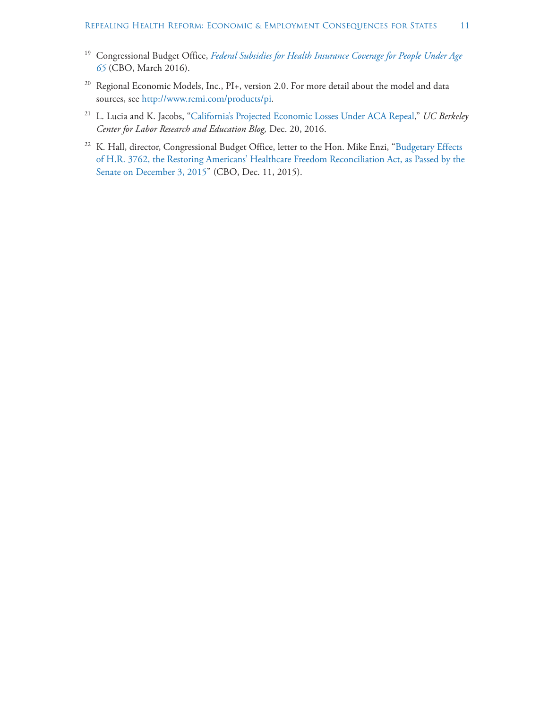- <sup>19</sup> Congressional Budget Office, *[Federal Subsidies for Health Insurance Coverage for People Under Age](https://www.cbo.gov/publication/51385)  [65](https://www.cbo.gov/publication/51385)* (CBO, March 2016).
- <sup>20</sup> Regional Economic Models, Inc., PI+, version 2.0. For more detail about the model and data sources, see<http://www.remi.com/products/pi>.
- <sup>21</sup> L. Lucia and K. Jacobs, ["California's Projected Economic Losses Under ACA Repeal](http://laborcenter.berkeley.edu/californias-projected-economic-losses-under-aca-repeal/)," *UC Berkeley Center for Labor Research and Education Blog,* Dec. 20, 2016.
- <sup>22</sup> K. Hall, director, Congressional Budget Office, letter to the Hon. Mike Enzi, "Budgetary Effects [of H.R. 3762, the Restoring Americans' Healthcare Freedom Reconciliation Act, as Passed by the](https://www.cbo.gov/sites/default/files/114th-congress-2015-2016/costestimate/hr3762senatepassed.pdf)  [Senate on December 3, 2015](https://www.cbo.gov/sites/default/files/114th-congress-2015-2016/costestimate/hr3762senatepassed.pdf)" (CBO, Dec. 11, 2015).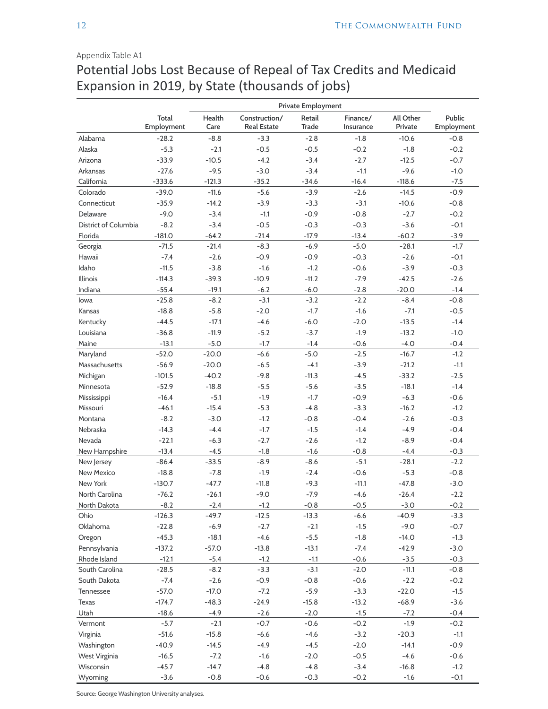#### <span id="page-11-0"></span>Appendix Table A1

# Potential Jobs Lost Because of Repeal of Tax Credits and Medicaid Expansion in 2019, by State (thousands of jobs)

|                      |                     |                |                                     | Private Employment     |                       |                      |                      |
|----------------------|---------------------|----------------|-------------------------------------|------------------------|-----------------------|----------------------|----------------------|
|                      | Total<br>Employment | Health<br>Care | Construction/<br><b>Real Estate</b> | Retail<br><b>Trade</b> | Finance/<br>Insurance | All Other<br>Private | Public<br>Employment |
| Alabama              | $-28.2$             | $-8.8$         | $-3.3$                              | $-2.8$                 | $-1.8$                | $-10.6$              | $-0.8$               |
| Alaska               | $-5.3$              | $-2.1$         | $-0.5$                              | $-0.5$                 | $-0.2$                | $-1.8$               | $-0.2$               |
| Arizona              | $-33.9$             | $-10.5$        | $-4.2$                              | $-3.4$                 | $-2.7$                | $-12.5$              | $-0.7$               |
| Arkansas             | $-27.6$             | $-9.5$         | $-3.0$                              | $-3.4$                 | $-1.1$                | $-9.6$               | $-1.0$               |
| California           | $-333.6$            | $-121.3$       | $-35.2$                             | $-34.6$                | $-16.4$               | $-118.6$             | $-7.5$               |
| Colorado             | $-39.0$             | $-11.6$        | $-5.6$                              | $-3.9$                 | $-2.6$                | $-14.5$              | $-0.9$               |
| Connecticut          | $-35.9$             | $-14.2$        | $-3.9$                              | $-3.3$                 | $-3.1$                | $-10.6$              | $-0.8$               |
| Delaware             | $-9.0$              | $-3.4$         | $-1.1$                              | $-0.9$                 | $-0.8$                | $-2.7$               | $-0.2$               |
| District of Columbia | $-8.2$              | $-3.4$         | $-0.5$                              | $-0.3$                 | $-0.3$                | $-3.6$               | $-0.1$               |
| Florida              | $-181.0$            | $-64.2$        | $-21.4$                             | $-17.9$                | $-13.4$               | $-60.2$              | $-3.9$               |
| Georgia              | $-71.5$             | $-21.4$        | $-8.3$                              | $-6.9$                 | $-5.0$                | $-28.1$              | $-1.7$               |
| Hawaii               | $-7.4$              | $-2.6$         | $-0.9$                              | $-0.9$                 | $-0.3$                | $-2.6$               | $-0.1$               |
| Idaho                | $-11.5$             | $-3.8$         | $-1.6$                              | $-1.2$                 | $-0.6$                | $-3.9$               | $-0.3$               |
| Illinois             | $-114.3$            | $-39.3$        | $-10.9$                             | $-11.2$                | $-7.9$                | $-42.5$              | $-2.6$               |
| Indiana              | $-55.4$             | $-19.1$        | $-6.2$                              | $-6.0$                 | $-2.8$                | $-20.0$              | $-1.4$               |
| lowa                 | $-25.8$             | $-8.2$         | $-3.1$                              | $-3.2$                 | $-2.2$                | $-8.4$               | $-0.8$               |
| Kansas               | $-18.8$             | $-5.8$         | $-2.0$                              | $-1.7$                 | $-1.6$                | $-7.1$               | $-0.5$               |
| Kentucky             | $-44.5$             | $-17.1$        | $-4.6$                              | $-6.0$                 | $-2.0$                | $-13.5$              | $-1.4$               |
| Louisiana            | $-36.8$             | $-11.9$        | $-5.2$                              | $-3.7$                 | $-1.9$                | $-13.2$              | $-1.0$               |
| Maine                | $-13.1$             | $-5.0$         | $-1.7$                              | $-1.4$                 | $-0.6$                | $-4.0$               | $-0.4$               |
| Maryland             | $-52.0$             | $-20.0$        | $-6.6$                              | $-5.0$                 | $-2.5$                | $-16.7$              | $-1.2$               |
| Massachusetts        | $-56.9$             | $-20.0$        | $-6.5$                              | $-4.1$                 | $-3.9$                | $-21.2$              | $-1.1$               |
| Michigan             | $-101.5$            | $-40.2$        | $-9.8$                              | $-11.3$                | $-4.5$                | $-33.2$              | $-2.5$               |
| Minnesota            | $-52.9$             | $-18.8$        | $-5.5$                              | $-5.6$                 | $-3.5$                | $-18.1$              | $-1.4$               |
| Mississippi          | $-16.4$             | $-5.1$         | $-1.9$                              | $-1.7$                 | $-0.9$                | $-6.3$               | $-0.6$               |
| Missouri             | $-46.1$             | $-15.4$        | $-5.3$                              | $-4.8$                 | $-3.3$                | $-16.2$              | $-1.2$               |
| Montana              | $-8.2$              | $-3.0$         | $-1.2$                              | $-0.8$                 | $-0.4$                | $-2.6$               | $-0.3$               |
| Nebraska             | $-14.3$             | $-4.4$         | $-1.7$                              | $-1.5$                 | $-1.4$                | $-4.9$               | $-0.4$               |
| Nevada               | $-22.1$             | $-6.3$         | $-2.7$                              | $-2.6$                 | $-1.2$                | $-8.9$               | $-0.4$               |
| New Hampshire        | $-13.4$             | $-4.5$         | $-1.8$                              | $-1.6$                 | $-0.8$                | $-4.4$               | $-0.3$               |
| New Jersey           | $-86.4$             | $-33.5$        | $-8.9$                              | $-8.6$                 | $-5.1$                | $-28.1$              | $-2.2$               |
| New Mexico           | $-18.8$             | $-7.8$         | $-1.9$                              | $-2.4$                 | $-0.6$                | $-5.3$               | $-0.8$               |
| New York             | $-130.7$            | $-47.7$        | $-11.8$                             | $-9.3$                 | $-11.1$               | $-47.8$              | $-3.0$               |
| North Carolina       | $-76.2$             | $-26.1$        | $-9.0$                              | $-7.9$                 | $-4.6$                | $-26.4$              | $-2.2$               |
| North Dakota         | $-8.2$              | $-2.4$         | $-1.2$                              | $-0.8$                 | $-0.5$                | $-3.0$               | $-0.2$               |
| Ohio                 | $-126.3$            | $-49.7$        | $-12.5$                             | $-13.3$                | $-6.6$                | $-40.9$              | $-3.3$               |
| Oklahoma             | $-22.8$             | $-6.9$         | $-2.7$                              | $-2.1$                 | $-1.5$                | $-9.0$               | $-0.7$               |
| Oregon               | $-45.3$             | $-18.1$        | $-4.6$                              | $-5.5$                 | $-1.8$                | $-14.0$              | $-1.3$               |
| Pennsylvania         | $-137.2$            | $-57.0$        | $-13.8$                             | $-13.1$                | $-7.4$                | $-42.9$              | $-3.0$               |
| Rhode Island         | $-12.1$             | $-5.4$         | $-1.2$                              | $-1.1$                 | $-0.6$                | $-3.5$               | $-0.3$               |
| South Carolina       | $-28.5$             | $-8.2$         | $-3.3$                              | $-3.1$                 | $-2.0$                | $-11.1$              | $-0.8$               |
| South Dakota         | $-7.4$              | $-2.6$         | $-0.9$                              | $-0.8$                 | $-0.6$                | $-2.2$               | $-0.2$               |
| Tennessee            | $-57.0$             | $-17.0$        | $-7.2$                              | $-5.9$                 | $-3.3$                | $-22.0$              | $-1.5$               |
| Texas                | $-174.7$            | $-48.3$        | $-24.9$                             | $-15.8$                | $-13.2$               | $-68.9$              | $-3.6$               |
| Utah                 | $-18.6$             | $-4.9$         | $-2.6$                              | $-2.0$                 | $-1.5$                | $-7.2$               | $-0.4$               |
| Vermont              | $-5.7$              | $-2.1$         | $-0.7$                              | $-0.6$                 | $-0.2$                | $-1.9$               | $-0.2$               |
| Virginia             | $-51.6$             | $-15.8$        | $-6.6$                              | $-4.6$                 | $-3.2$                | $-20.3$              | $-1.1$               |
| Washington           | $-40.9$             | $-14.5$        | $-4.9$                              | $-4.5$                 | $-2.0$                | $-14.1$              | $-0.9$               |
| West Virginia        | $-16.5$             | $-7.2$         | $-1.6$                              | $-2.0$                 | $-0.5$                | $-4.6$               | $-0.6$               |
| Wisconsin            | $-45.7$             | $-14.7$        | $-4.8$                              | $-4.8$                 | $-3.4$                | $-16.8$              | $-1.2$               |
| Wyoming              | $-3.6$              | $-0.8$         | $-0.6$                              | $-0.3$                 | $-0.2$                | $-1.6$               | $-0.1$               |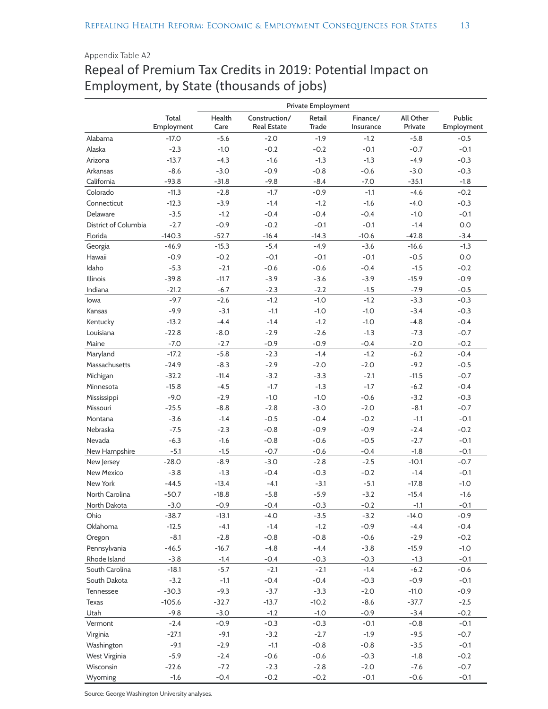## Appendix Table A2 Repeal of Premium Tax Credits in 2019: Potential Impact on Employment, by State (thousands of jobs)

|                      |                     |                |                                     | Private Employment     |                       |                      |                      |
|----------------------|---------------------|----------------|-------------------------------------|------------------------|-----------------------|----------------------|----------------------|
|                      | Total<br>Employment | Health<br>Care | Construction/<br><b>Real Estate</b> | Retail<br><b>Trade</b> | Finance/<br>Insurance | All Other<br>Private | Public<br>Employment |
| Alabama              | $-17.0$             | $-5.6$         | $-2.0$                              | $-1.9$                 | $-1.2$                | $-5.8$               | $-0.5$               |
| Alaska               | $-2.3$              | $-1.0$         | $-0.2$                              | $-0.2$                 | $-0.1$                | $-0.7$               | $-0.1$               |
| Arizona              | $-13.7$             | $-4.3$         | $-1.6$                              | $-1.3$                 | $-1.3$                | $-4.9$               | $-0.3$               |
| Arkansas             | $-8.6$              | $-3.0$         | $-0.9$                              | $-0.8$                 | $-0.6$                | $-3.0$               | $-0.3$               |
| California           | $-93.8$             | $-31.8$        | $-9.8$                              | $-8.4$                 | $-7.0$                | $-35.1$              | $-1.8$               |
| Colorado             | $-11.3$             | $-2.8$         | $-1.7$                              | $-0.9$                 | $-1.1$                | $-4.6$               | $-0.2$               |
| Connecticut          | $-12.3$             | $-3.9$         | $-1.4$                              | $-1.2$                 | $-1.6$                | $-4.0$               | $-0.3$               |
| Delaware             | $-3.5$              | $-1.2$         | $-0.4$                              | $-0.4$                 | $-0.4$                | $-1.0$               | $-0.1$               |
| District of Columbia | $-2.7$              | $-0.9$         | $-0.2$                              | $-0.1$                 | $-0.1$                | $-1.4$               | $0.0\,$              |
| Florida              | $-140.3$            | $-52.7$        | $-16.4$                             | $-14.3$                | $-10.6$               | $-42.8$              | $-3.4$               |
| Georgia              | $-46.9$             | $-15.3$        | $-5.4$                              | $-4.9$                 | $-3.6$                | $-16.6$              | $-1.3$               |
| Hawaii               | $-0.9$              | $-0.2$         | $-0.1$                              | $-0.1$                 | $-0.1$                | $-0.5$               | $0.0\,$              |
| Idaho                | $-5.3$              | $-2.1$         | $-0.6$                              | $-0.6$                 | $-0.4$                | $-1.5$               | $-0.2$               |
| Illinois             | $-39.8$             | $-11.7$        | $-3.9$                              | $-3.6$                 | $-3.9$                | $-15.9$              | $-0.9$               |
| Indiana              | $-21.2$             | $-6.7$         | $-2.3$                              | $-2.2$                 | $-1.5$                | $-7.9$               | $-0.5$               |
| lowa                 | $-9.7$              | $-2.6$         | $-1.2$                              | $-1.0$                 | $-1.2$                | $-3.3$               | $-0.3$               |
| Kansas               | $-9.9$              | $-3.1$         | $-1.1$                              | $-1.0$                 | $-1.0$                | $-3.4$               | $-0.3$               |
| Kentucky             | $-13.2$             | $-4.4$         | $-1.4$                              | $-1.2$                 | $-1.0$                | $-4.8$               | $-0.4$               |
|                      |                     |                |                                     |                        |                       |                      |                      |
| Louisiana            | $-22.8$             | $-8.0$         | $-2.9$                              | $-2.6$                 | $-1.3$                | $-7.3$               | $-0.7$               |
| Maine                | $-7.0$              | $-2.7$         | $-0.9$                              | $-0.9$                 | $-0.4$                | $-2.0$               | $-0.2$               |
| Maryland             | $-17.2$             | $-5.8$         | $-2.3$                              | $-1.4$                 | $-1.2$                | $-6.2$               | $-0.4$               |
| Massachusetts        | $-24.9$             | $-8.3$         | $-2.9$                              | $-2.0$                 | $-2.0$                | $-9.2$               | $-0.5$               |
| Michigan             | $-32.2$             | $-11.4$        | $-3.2$                              | $-3.3$                 | $-2.1$                | $-11.5$              | $-0.7$               |
| Minnesota            | $-15.8$             | $-4.5$         | $-1.7$                              | $-1.3$                 | $-1.7$                | $-6.2$               | $-0.4$               |
| Mississippi          | $-9.0$              | $-2.9$         | $-1.0$                              | $-1.0$                 | $-0.6$                | $-3.2$               | $-0.3$               |
| Missouri             | $-25.5$             | $-8.8$         | $-2.8$                              | $-3.0$                 | $-2.0$                | $-8.1$               | $-0.7$               |
| Montana              | $-3.6$              | $-1.4$         | $-0.5$                              | $-0.4$                 | $-0.2$                | $-1.1$               | $-0.1$               |
| Nebraska             | $-7.5$              | $-2.3$         | $-0.8$                              | $-0.9$                 | $-0.9$                | $-2.4$               | $-0.2$               |
| Nevada               | $-6.3$              | $-1.6$         | $-0.8$                              | $-0.6$                 | $-0.5$                | $-2.7$               | $-0.1$               |
| New Hampshire        | $-5.1$              | $-1.5$         | $-0.7$                              | $-0.6$                 | $-0.4$                | $-1.8$               | $-0.1$               |
| New Jersey           | $-28.0$             | $-8.9$         | $-3.0$                              | $-2.8$                 | $-2.5$                | $-10.1$              | $-0.7$               |
| New Mexico           | $-3.8$              | $-1.3$         | $-0.4$                              | $-0.3$                 | $-0.2$                | $-1.4$               | $-0.1$               |
| New York             | $-44.5$             | $-13.4$        | $-4.1$                              | $-3.1$                 | $-5.1$                | $-17.8$              | $-1.0$               |
| North Carolina       | $-50.7$             | $-18.8$        | $-5.8$                              | $-5.9$                 | $-3.2$                | $-15.4$              | $-1.6$               |
| North Dakota         | $-3.0$              | $-0.9$         | $-0.4$                              | $-0.3$                 | $-0.2$                | $-1.1$               | $-0.1$               |
| Ohio                 | $-38.7$             | $-13.1$        | $-4.0$                              | $-3.5$                 | $-3.2$                | $-14.0$              | $-0.9$               |
| Oklahoma             | $-12.5$             | $-4.1$         | $-1.4$                              | $-1.2$                 | $-0.9$                | $-4.4$               | $-0.4$               |
| Oregon               | $-8.1$              | $-2.8$         | $-0.8$                              | $-0.8$                 | $-0.6$                | $-2.9$               | $-0.2$               |
| Pennsylvania         | $-46.5$             | $-16.7$        | $-4.8$                              | $-4.4$                 | $-3.8$                | $-15.9$              | $-1.0$               |
| Rhode Island         | $-3.8$              | $-1.4$         | $-0.4$                              | $-0.3$                 | $-0.3$                | $-1.3$               | $-0.1$               |
| South Carolina       | $-18.1$             | $-5.7$         | $-2.1$                              | $-2.1$                 | $-1.4$                | $-6.2$               | $-0.6$               |
| South Dakota         | $-3.2$              | $-1.1$         | $-0.4$                              | $-0.4$                 | $-0.3$                | $-0.9$               | $-0.1$               |
| Tennessee            | $-30.3$             | $-9.3$         | $-3.7$                              | $-3.3$                 | $-2.0$                | $-11.0$              | $-0.9$               |
| Texas                | $-105.6$            | $-32.7$        | $-13.7$                             | $-10.2$                | $-8.6$                | $-37.7$              | $-2.5$               |
| Utah                 | $-9.8$              | $-3.0$         | $-1.2$                              | $-1.0$                 | $-0.9$                | $-3.4$               | $-0.2$               |
| Vermont              | $-2.4$              | $-0.9$         | $-0.3$                              | $-0.3$                 | $-0.1$                | $-0.8$               | $-0.1$               |
| Virginia             | $-27.1$             | $-9.1$         | $-3.2$                              | $-2.7$                 | $-1.9$                | $-9.5$               | $-0.7$               |
| Washington           | $-9.1$              | $-2.9$         | $-1.1$                              | $-0.8$                 | $-0.8$                | $-3.5$               | $-0.1$               |
| West Virginia        | $-5.9$              | $-2.4$         | $-0.6$                              | $-0.6$                 | $-0.3$                | $-1.8$               | $-0.2$               |
| Wisconsin            | $-22.6$             | $-7.2$         | $-2.3$                              | $-2.8$                 | $-2.0$                | $-7.6$               | $-0.7$               |
| Wyoming              | $-1.6$              | $-0.4$         | $-0.2$                              | $-0.2$                 | $-0.1$                | $-0.6$               | $-0.1$               |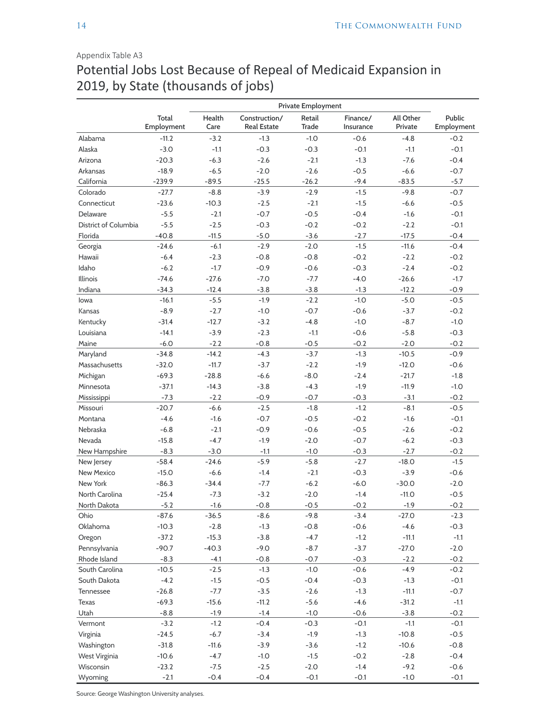#### Appendix Table A3

# Potential Jobs Lost Because of Repeal of Medicaid Expansion in 2019, by State (thousands of jobs)

|                      |                     |                |                                     | Private Employment     |                       |                      |                      |
|----------------------|---------------------|----------------|-------------------------------------|------------------------|-----------------------|----------------------|----------------------|
|                      | Total<br>Employment | Health<br>Care | Construction/<br><b>Real Estate</b> | Retail<br><b>Trade</b> | Finance/<br>Insurance | All Other<br>Private | Public<br>Employment |
| Alabama              | $-11.2$             | $-3.2$         | $-1.3$                              | $-1.0$                 | $-0.6$                | $-4.8$               | $-0.2$               |
| Alaska               | $-3.0$              | $-1.1$         | $-0.3$                              | $-0.3$                 | $-0.1$                | $-1.1$               | $-0.1$               |
| Arizona              | $-20.3$             | $-6.3$         | $-2.6$                              | $-2.1$                 | $-1.3$                | $-7.6$               | $-0.4$               |
| Arkansas             | $-18.9$             | $-6.5$         | $-2.0$                              | $-2.6$                 | $-0.5$                | $-6.6$               | $-0.7$               |
| California           | $-239.9$            | $-89.5$        | $-25.5$                             | $-26.2$                | $-9.4$                | $-83.5$              | $-5.7$               |
| Colorado             | $-27.7$             | $-8.8$         | $-3.9$                              | $-2.9$                 | $-1.5$                | $-9.8$               | $-0.7$               |
| Connecticut          | $-23.6$             | $-10.3$        | $-2.5$                              | $-2.1$                 | $-1.5$                | $-6.6$               | $-0.5$               |
| Delaware             | $-5.5$              | $-2.1$         | $-0.7$                              | $-0.5$                 | $-0.4$                | $-1.6$               | $-0.1$               |
| District of Columbia | $-5.5$              | $-2.5$         | $-0.3$                              | $-0.2$                 | $-0.2$                | $-2.2$               | $-0.1$               |
| Florida              | $-40.8$             | $-11.5$        | $-5.0$                              | $-3.6$                 | $-2.7$                | $-17.5$              | $-0.4$               |
| Georgia              | $-24.6$             | $-6.1$         | $-2.9$                              | $-2.0$                 | $-1.5$                | $-11.6$              | $-0.4$               |
| Hawaii               | $-6.4$              | $-2.3$         | $-0.8$                              | $-0.8$                 | $-0.2$                | $-2.2$               | $-0.2$               |
| Idaho                | $-6.2$              | $-1.7$         | $-0.9$                              | $-0.6$                 | $-0.3$                | $-2.4$               | $-0.2$               |
| Illinois             | $-74.6$             | $-27.6$        | $-7.0$                              | $-7.7$                 | $-4.0$                | $-26.6$              | $-1.7$               |
| Indiana              | $-34.3$             | $-12.4$        | $-3.8$                              | $-3.8$                 | $-1.3$                | $-12.2$              | $-0.9$               |
| lowa                 | $-16.1$             | $-5.5$         | $-1.9$                              | $-2.2$                 | $-1.0$                | $-5.0$               | $-0.5$               |
| Kansas               | $-8.9$              | $-2.7$         | $-1.0$                              | $-0.7$                 | $-0.6$                | $-3.7$               | $-0.2$               |
| Kentucky             | $-31.4$             | $-12.7$        | $-3.2$                              | $-4.8$                 | $-1.0$                | $-8.7$               | $-1.0$               |
| Louisiana            | $-14.1$             | $-3.9$         | $-2.3$                              | $-1.1$                 | $-0.6$                | $-5.8$               | $-0.3$               |
| Maine                | $-6.0$              | $-2.2$         | $-0.8$                              | $-0.5$                 | $-0.2$                | $-2.0$               | $-0.2$               |
| Maryland             | $-34.8$             | $-14.2$        | $-4.3$                              | $-3.7$                 | $-1.3$                | $-10.5$              | $-0.9$               |
| Massachusetts        | $-32.0$             | $-11.7$        | $-3.7$                              | $-2.2$                 | $-1.9$                | $-12.0$              | $-0.6$               |
| Michigan             | $-69.3$             | $-28.8$        | $-6.6$                              | $-8.0$                 | $-2.4$                | $-21.7$              | $-1.8$               |
| Minnesota            | $-37.1$             | $-14.3$        | $-3.8$                              | $-4.3$                 | $-1.9$                | $-11.9$              | $-1.0$               |
| Mississippi          | $-7.3$              | $-2.2$         | $-0.9$                              | $-0.7$                 | $-0.3$                | $-3.1$               | $-0.2$               |
| Missouri             | $-20.7$             | $-6.6$         | $-2.5$                              | $-1.8$                 | $-1.2$                | $-8.1$               | $-0.5$               |
| Montana              | $-4.6$              | $-1.6$         | $-0.7$                              | $-0.5$                 | $-0.2$                | $-1.6$               | $-0.1$               |
| Nebraska             | $-6.8$              | $-2.1$         | $-0.9$                              | $-0.6$                 | $-0.5$                | $-2.6$               | $-0.2$               |
| Nevada               | $-15.8$             | $-4.7$         | $-1.9$                              | $-2.0$                 | $-0.7$                | $-6.2$               | $-0.3$               |
| New Hampshire        | $-8.3$              | $-3.0$         | $-1.1$                              | $-1.0$                 | $-0.3$                | $-2.7$               | $-0.2$               |
| New Jersey           | $-58.4$             | $-24.6$        | $-5.9$                              | $-5.8$                 | $-2.7$                | $-18.0$              | $-1.5$               |
| New Mexico           | $-15.0$             | $-6.6$         | $-1.4$                              | $-2.1$                 | $-0.3$                | $-3.9$               | $-0.6$               |
| New York             | $-86.3$             | $-34.4$        | -7.7                                | $-6.2$                 | $-6.0$                | $-30.0$              | $-2.0$               |
| North Carolina       | $-25.4$             | $-7.3$         | $-3.2$                              | $-2.0$                 | $-1.4$                | $-11.0$              | $-0.5$               |
| North Dakota         | $-5.2$              | $-1.6$         | $-0.8$                              | $-0.5$                 | $-0.2$                | $-1.9$               | $-0.2$               |
| Ohio                 | $-87.6$             | $-36.5$        | $-8.6$                              | $-9.8$                 | $-3.4$                | $-27.0$              | $-2.3$               |
| Oklahoma             | $-10.3$             | $-2.8$         | $-1.3$                              | $-0.8$                 | $-0.6$                | $-4.6$               | $-0.3$               |
| Oregon               | $-37.2$             | $-15.3$        | $-3.8$                              | $-4.7$                 | $-1.2$                | $-11.1$              | $-1.1$               |
| Pennsylvania         | $-90.7$             | $-40.3$        | $-9.0$                              | $-8.7$                 | $-3.7$                | $-27.0$              | $-2.0$               |
| Rhode Island         | $-8.3$              | $-4.1$         | $-0.8$                              | $-0.7$                 | $-0.3$                | $-2.2$               | $-0.2$               |
| South Carolina       | $-10.5$             | $-2.5$         | $-1.3$                              | $-1.0$                 | $-0.6$                | $-4.9$               | $-0.2$               |
| South Dakota         | $-4.2$              | $-1.5$         | $-0.5$                              | $-0.4$                 | $-0.3$                | $-1.3$               | $-0.1$               |
| Tennessee            | $-26.8$             | $-7.7$         | $-3.5$                              | $-2.6$                 | $-1.3$                | $-11.1$              | $-0.7$               |
| Texas                | $-69.3$             | $-15.6$        | $-11.2$                             | $-5.6$                 | $-4.6$                | $-31.2$              | $-1.1$               |
| Utah                 | $-8.8$              | $-1.9$         | $-1.4$                              | $-1.0$                 | $-0.6$                | $-3.8$               | $-0.2$               |
| Vermont              | $-3.2$              | $-1.2$         | $-0.4$                              | $-0.3$                 | $-0.1$                | $-1.1$               | $-0.1$               |
| Virginia             | $-24.5$             | $-6.7$         | $-3.4$                              | $-1.9$                 | $-1.3$                | $-10.8$              | $-0.5$               |
| Washington           | $-31.8$             | $-11.6$        | $-3.9$                              | $-3.6$                 | $-1.2$                | $-10.6$              | $-0.8$               |
| West Virginia        | $-10.6$             | $-4.7$         | $-1.0$                              | $-1.5$                 | $-0.2$                | $-2.8$               | $-0.4$               |
| Wisconsin            | $-23.2$             | $-7.5$         | $-2.5$                              | $-2.0$                 | $-1.4$                | $-9.2$               | $-0.6$               |
| Wyoming              | $-2.1$              | $-0.4$         | $-0.4$                              | $-0.1$                 | $-0.1$                | $-1.0$               | $-0.1$               |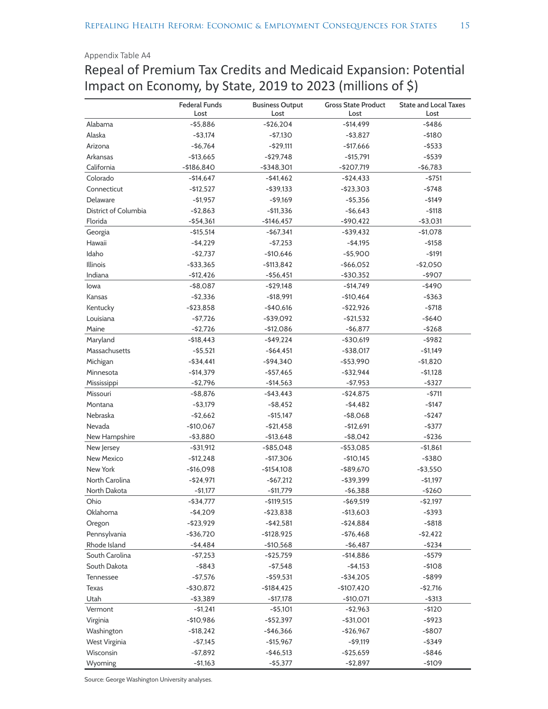#### Appendix Table A4

# Repeal of Premium Tax Credits and Medicaid Expansion: Potential Impact on Economy, by State, 2019 to 2023 (millions of \$)

|                      | <b>Federal Funds</b>        | <b>Business Output</b> | <b>Gross State Product</b> | <b>State and Local Taxes</b> |
|----------------------|-----------------------------|------------------------|----------------------------|------------------------------|
|                      | Lost                        | Lost                   | Lost                       | Lost                         |
| Alabama              | $- $5,886$                  | $-526,204$             | $-514,499$                 | $-$ \$486                    |
| Alaska               | $-$ \$3,174                 | $-57,130$              | $-53,827$                  | $-5180$                      |
| Arizona              | $-$6,764$                   | $-529,111$             | $-$17,666$                 | $-$ \$533                    |
| Arkansas             | $-$13,665$                  | $-529,748$             | $- $15,791$                | $-$ \$539                    |
| California           | $-$186,840$                 | $-$ \$348,301          | $-$207,719$                | $-56,783$                    |
| Colorado             | $-$14,647$                  | $-$ \$41,462           | $-524,433$                 | $-$ \$751                    |
| Connecticut          | $-512,527$                  | $-$ \$39,133           | $-$ \$23,303               | $-5748$                      |
| Delaware             | $-51,957$                   | $-$ \$9,169            | $-$ \$5,356                | $-5149$                      |
| District of Columbia | $-52,863$                   | $- $11,336$            | $-56,643$                  | $-5118$                      |
| Florida              | $-$ \$54,361                | $-$146,457$            | $-$ \$90,422               | $-$ \$3,031                  |
| Georgia              | $- $15,514$                 | $-567,341$             | $-$ \$39,432               | $-$1,078$                    |
| Hawaii               | $-54,229$                   | $-57,253$              | $-54,195$                  | $-$ \$158                    |
| Idaho                | $-52,737$                   | $-$10,646$             | $-$ \$5,900                | $-5191$                      |
| Illinois             | $-$ \$33,365                | $- $113,842$           | $-$ \$66,052               | $-$2,050$                    |
| Indiana              | $-$12,426$                  | $-$ \$56,451           | $-$30,352$                 | $-$ \$907                    |
| lowa                 | $-$ \$8,087                 | $-$ \$29,148           | $-514,749$                 | $-$ \$490                    |
| Kansas               | $-52,336$                   | $- $18,991$            | $-$10,464$                 | $-$ \$363                    |
| Kentucky             | $-523.858$                  | $-$40,616$             | $-522,926$                 | $-5718$                      |
| Louisiana            | $-57,726$                   | $-$ \$39,092           | -\$21,532                  | $-$ \$640                    |
| Maine                | $-$ \$2,726                 | $-$12,086$             | $-56,877$                  | $-5268$                      |
| Maryland             | $- $18,443$                 | $-$ \$49,224           | $-$ \$30,619               | $-$ \$982                    |
| Massachusetts        | $-55,521$                   | $-$ \$64,451           | $-$ \$38,017               | $-51,149$                    |
| Michigan             | $-$ \$34,441                | $-$ \$94,340           | $-$ \$53,990               | $- $1,820$                   |
| Minnesota            | $-$14,379$                  | $-$ \$57,465           | $-$ \$32,944               | $- $1,128$                   |
| Mississippi          | $-52,796$                   | $-$14,563$             | $-57,953$                  | $-$ \$327                    |
| Missouri             | $-58,876$                   | $-$ \$43,443           | $-$ \$24,875               | $-5711$                      |
| Montana              | $-53,179$                   | $-$ \$8,452            | $-54,482$                  | $-5147$                      |
| Nebraska             | $-52,662$                   | $- $15,147$            | $-$ \$8,068                | $-5247$                      |
| Nevada               | $-$10,067$                  | $-$ \$21,458           | $-512,691$                 | $-$ \$377                    |
| New Hampshire        | $-$ \$3,880                 | $- $13,648$            | $-$ \$8,042                | $-5236$                      |
| New Jersey           | $-$ \$31,912                | $-$ \$85,048           | $-$ \$53,085               | $- $1,861$                   |
| <b>New Mexico</b>    | $-512,248$                  | $-$17,306$             | $-$10,145$                 | $-$ \$380                    |
| New York             | $-$16,098$                  | $- $154,108$           | $-$ \$89,670               | $-$ \$3,550                  |
| North Carolina       | $-524,971$                  | $-567,212$             | $-$ \$39,399               | $-51,197$                    |
| North Dakota         | $-$ \$1,177                 | -\$11,779              | -\$6,388                   | -\$260                       |
| Ohio                 | -\$34,777                   | $-$ \$119,515          | $-$ \$69,519               | $-$ \$2,197                  |
| Oklahoma             | $-$4,209$                   | $-$ \$23,838           | $-$13,603$                 | $-$ \$393                    |
| Oregon               | $-$ \$23,929                | $-542,581$             | $-$ \$24,884               | $-$ \$818                    |
| Pennsylvania         | $-$ \$36,720                | $- $128,925$           | $-576,468$                 | $-52,422$                    |
| Rhode Island         | $-54,484$                   | $-$10,568$             | $-56,487$                  | $-5234$                      |
| South Carolina       | $-57,253$                   | $-$ \$25,759           | $-$14,886$                 | $-$ \$579                    |
| South Dakota         | $-$ \$843                   | $-57,548$              | $-54,153$                  | $-$108$                      |
| Tennessee            | $-$ \$7,576                 | $-$ \$59,531           | $-$ \$34,205               | -\$899                       |
|                      |                             | $- $184,425$           |                            |                              |
| Texas<br>Utah        | $-$ \$30,872<br>$-$ \$3,389 | $-$ \$17,178           | $-$107,420$<br>$-$10,071$  | $-52,716$<br>$-$ \$313       |
| Vermont              | $-51,241$                   | $-$ \$5,101            | $-52,963$                  | $-5120$                      |
|                      |                             |                        |                            |                              |
| Virginia             | $-$10,986$                  | -\$52,397              | $-$31,001$                 | $-$ \$923                    |
| Washington           | $- $18,242$                 | $-$ \$46,366           | $-526,967$                 | $-$ \$807                    |
| West Virginia        | $-57,145$                   | $- $15,967$            | $-$ \$9,119                | $-$ \$349                    |
| Wisconsin            | $-57,892$                   | $-$ \$46,513           | $-$ \$25,659               | $-$ \$846                    |
| Wyoming              | $-51,163$                   | $-$ \$5,377            | $-52,897$                  | $-$109$                      |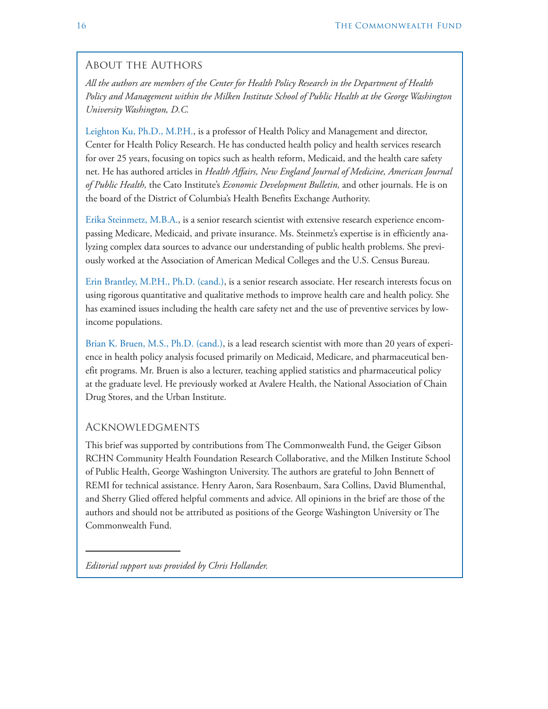#### About the Authors

*All the authors are members of the Center for Health Policy Research in the Department of Health Policy and Management within the Milken Institute School of Public Health at the George Washington University Washington, D.C.*

Leighton Ku, Ph.D., M.P.H., is a professor of Health Policy and Management and director, Center for Health Policy Research. He has conducted health policy and health services research for over 25 years, focusing on topics such as health reform, Medicaid, and the health care safety net. He has authored articles in *Health Affairs, New England Journal of Medicine, American Journal of Public Health,* the Cato Institute's *Economic Development Bulletin,* and other journals. He is on the board of the District of Columbia's Health Benefits Exchange Authority.

Erika Steinmetz, M.B.A., is a senior research scientist with extensive research experience encompassing Medicare, Medicaid, and private insurance. Ms. Steinmetz's expertise is in efficiently analyzing complex data sources to advance our understanding of public health problems. She previously worked at the Association of American Medical Colleges and the U.S. Census Bureau.

Erin Brantley, M.P.H., Ph.D. (cand.), is a senior research associate. Her research interests focus on using rigorous quantitative and qualitative methods to improve health care and health policy. She has examined issues including the health care safety net and the use of preventive services by lowincome populations.

Brian K. Bruen, M.S., Ph.D. (cand.), is a lead research scientist with more than 20 years of experience in health policy analysis focused primarily on Medicaid, Medicare, and pharmaceutical benefit programs. Mr. Bruen is also a lecturer, teaching applied statistics and pharmaceutical policy at the graduate level. He previously worked at Avalere Health, the National Association of Chain Drug Stores, and the Urban Institute.

#### Acknowledgments

This brief was supported by contributions from The Commonwealth Fund, the Geiger Gibson RCHN Community Health Foundation Research Collaborative, and the Milken Institute School of Public Health, George Washington University. The authors are grateful to John Bennett of REMI for technical assistance. Henry Aaron, Sara Rosenbaum, Sara Collins, David Blumenthal, and Sherry Glied offered helpful comments and advice. All opinions in the brief are those of the authors and should not be attributed as positions of the George Washington University or The Commonwealth Fund.

*Editorial support was provided by Chris Hollander.*